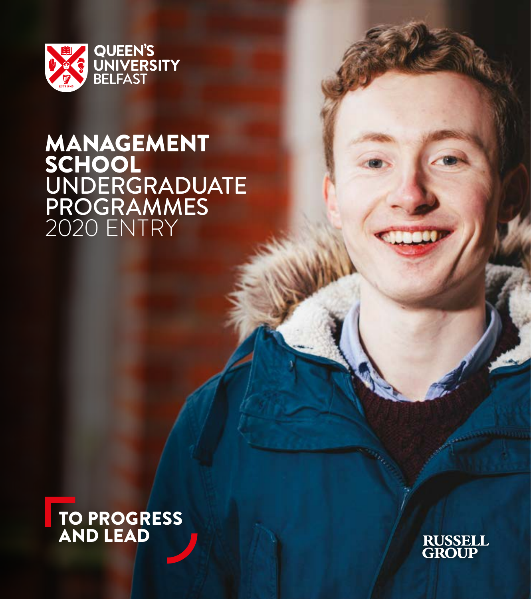

# MANAGEMENT SCHOOL UNDERGRADUATE PROGRAMMES 2020 ENTRY



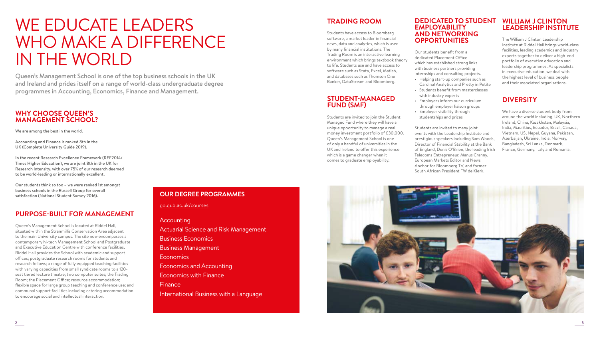# WE EDUCATE LEADERS WHO MAKE A DIFFERENCE IN THE WORLD

Queen's Management School is one of the top business schools in the UK and Ireland and prides itself on a range of world-class undergraduate degree programmes in Accounting, Economics, Finance and Management.

## **WHY CHOOSE QUEEN'S MANAGEMENT SCHOOL?**

We are among the best in the world.

Accounting and Finance is ranked 8th in the UK (Complete University Guide 2019).

In the recent Research Excellence Framework (REF2014/ Times Higher Education), we are joint 8th in the UK for Research Intensity, with over 75% of our research deemed to be world-leading or internationally excellent.

Our students think so too – we were ranked 1st amongst business schools in the Russell Group for overall satisfaction (National Student Survey 2016).

## **PURPOSE-BUILT FOR MANAGEMENT**

Queen's Management School is located at Riddel Hall, situated within the Stranmillis Conservation Area adjacent to the main University campus. The site now encompasses a contemporary hi-tech Management School and Postgraduate and Executive Education Centre with conference facilities. Riddel Hall provides the School with academic and support offices; postgraduate research rooms for students and research fellows; a range of fully equipped teaching facilities with varying capacities from small syndicate rooms to a 120 seat tiered lecture theatre; two computer suites; the Trading Room; the Placement Office; resource accommodation; flexible space for large group teaching and conference use; and communal support facilities including catering accommodation to encourage social and intellectual interaction.

## **OUR DEGREE PROGRAMMES**

go.qub.ac.uk/courses

### **Accounting**

Actuarial Science and Risk Management Business Economics Business Management Economics Economics and Accounting Economics with Finance Finance International Business with a Language

## **TRADING ROOM**

Students have access to Bloomberg software, a market leader in financial news, data and analytics, which is used by many financial institutions. The Trading Room is an interactive learning environment which brings textbook theory to life. Students use and have access to software such as Stata, Excel, Matlab, and databases such as Thomson One Banker, DataStream and Bloomberg.

#### **STUDENT-MANAGED FUND (SMF)**

Students are invited to join the Student Managed Fund where they will have a unique opportunity to manage a real money investment portfolio of £30,000. Queen's Management School is one of only a handful of universities in the UK and Ireland to offer this experience which is a game changer when it comes to graduate employability.

#### **DEDICATED TO STUDENT EMPLOYABILITY AND NETWORKING OPPORTUNITIES**

Our students benefit from a dedicated Placement Office which has established strong links with business partners providing internships and consulting projects. • Helping start-up companies such as

- Cardinal Analytics and Pretty in Petite
- Students benefit from masterclasses with industry experts
- Employers inform our curriculum through employer liaison groups
- Employer visibility through studentships and prizes

Students are invited to many joint events with the Leadership Institute and prestigious speakers including Sam Woods, Director of Financial Stability at the Bank of England, Denis O'Brien, the leading Irish Telecoms Entrepreneur, Manus Cranny, European Markets Editor and News Anchor for Bloomberg TV, and former South African President FW de Klerk.

## **WILLIAM J CLINTON LEADERSHIP INSTITUTE**

The William J Clinton Leadership Institute at Riddel Hall brings world-class facilities, leading academics and industry experts together to deliver a high-end portfolio of executive education and leadership programmes. As specialists in executive education, we deal with the highest level of business people and their associated organisations.

## **DIVERSITY**

We have a diverse student body from around the world including, UK, Northern Ireland, China, Kazakhstan, Malaysia, India, Mauritius, Ecuador, Brazil, Canada, Vietnam, US, Nepal, Guyana, Pakistan, Azerbaijan, Ukraine, India, Norway, Bangladesh, Sri Lanka, Denmark, France, Germany, Italy and Romania.

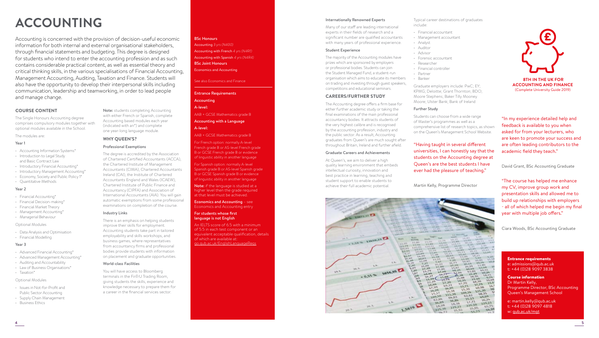# **ACCOUNTING**

Accounting is concerned with the provision of decision-useful economic information for both internal and external organisational stakeholders, through financial statements and budgeting. This degree is designed for students who intend to enter the accounting profession and as such contains considerable practical content, as well as essential theory and critical thinking skills, in the various specialisations of Financial Accounting, Management Accounting, Auditing, Taxation and Finance. Students will also have the opportunity to develop their interpersonal skills including communication, leadership and teamworking, in order to lead people and manage change.

#### **COURSE CONTENT**

The Single Honours Accounting degree comprises compulsory modules together with optional modules available in the School.

The modules are:

#### Year 1

- Accounting Information Systems\*
- Introduction to Legal Study and Basic Contract Law
- Introductory Financial Accounting\*
- Introductory Management Accounting\* • Economy, Society and Public Policy 1\*
- 
- Quantitative Methods

#### Year 2

- Financial Accounting\*
- Financial Decision-making\*
- Financial Market Theory • Management Accounting\*
- Managerial Behaviour

#### Optional Modules

- Data Analysis and Optimisation
- Financial Modelling

#### Year<sub>3</sub>

- Advanced Financial Accounting\*
- Advanced Management Accounting\*
- Auditing and Accountability
- Law of Business Organisations\* • Taxation\*

#### Optional Modules

- Issues in Not-for-Profit and Public Sector Accounting
- Supply Chain Management
- Business Ethics

#### BSc Honours

Accounting *3 yrs (N400)*  Accounting with French *4 yrs (N4R1)*  Accounting with Spanish *4 yrs (N4R4)*  BSc Joint Honours Economics and Accounting

#### See also Economics and Finance

#### Entrance Requirements Accounting

A-level:

AAB + GCSE Mathematics grade B

#### Accounting with a Language A-level:

#### AAB + GCSE Mathematics grade B

For French option: normally A-level French grade B or AS-level French grade B or GCSE French grade B or evidence of linguistic ability in another language

For Spanish option: normally A-level Spanish grade B or AS-level Spanish grade B or GCSE Spanish grade B or evidence of linguistic ability in another language

Note: if the language is studied at a higher level then the grade required at that level must be achieved.

Economics and Accounting – see Economics and Accounting entry

#### For students whose first language is not English

An IELTS score of 6.5 with a minimum of 5.5 in each test component or an equivalent acceptable qualification, details of which are available at: [go.qub.ac.uk/EnglishLanguageReqs](http://go.qub.ac.uk/EnglishLanguageReqs)

#### Internationally Renowned Experts

Many of our staff are leading international experts in their fields of research and a significant number are qualified accountants with many years of professional experience.

#### Student Experience

The majority of the Accounting modules have prizes which are sponsored by employers or professional bodies. Students can join the Student Managed Fund, a student-run organisation which aims to educate its members on trading and investing through guest speakers, competitions and educational seminars.

#### **CAREERS/FURTHER STUDY**

The Accounting degree offers a firm base for either further academic study or taking the final examinations of the main professional accountancy bodies. It attracts students of the very highest calibre and is recognised by the accounting profession, industry and the public sector. As a result, Accounting graduates from Queen's are much sought after throughout Britain, Ireland and further afield.

#### Graduate Careers and Achievements

At Queen's, we aim to deliver a high quality learning environment that embeds intellectual curiosity, innovation and best practice in learning, teaching and student support to enable students to achieve their full academic potential.



Typical career destinations of graduates include:

- Financial accountant
- Management accountant • Analyst
- Auditor
- Advisor
- Forensic accountant
- Researcher • Financial controller
- Partner
- Banker

Graduate employers include: PwC; EY; KPMG; Deloitte; Grant Thornton; BDO; Moore Stephens; Baker Tilly Mooney Moore; Ulster Bank; Bank of Ireland

#### Further Study

Students can choose from a wide range of Master's programmes as well as a comprehensive list of research topics, as shown on the Queen's Management School Website.

"Having taught in several different universities, I can honestly say that the students on the Accounting degree at Queen's are the best students I have ever had the pleasure of teaching."

Martin Kelly, Programme Director

David Grant, BSc Accounting Graduate "The course has helped me enhance

- all of which helped me begin my final year with multiple job offers."

Ciara Woods, BSc Accounting Graduate

#### Entrance requirements e: [admissions@qub.ac.uk](mailto:admissions%40qub.ac.uk?subject=) t: +44 (0)28 9097 3838

Course information Dr Martin Kelly, Programme Director, BSc Accounting Queen's Management School

e: [martin.kelly@qub.ac.uk](mailto:martin.kelly%40qub.ac.uk?subject=) t: +44 (0)28 9097 4818 w: [qub.ac.uk/mgt](http://www.qub.ac.uk/mgt)

(Complete University Guide 2019)

"In my experience detailed help and feedback is available to you when asked for from your lecturers, who are keen to promote your success and are often leading contributors to the academic field they teach."

my CV, improve group work and presentation skills and allowed me to build up relationships with employers

 **8TH IN THE UK FOR ACCOUNTING AND FINANCE**

(indicated with an\*) and complete one year-long language module. **WHY QUEEN'S?** Professional Exemptions The degree is accredited by the Association of Chartered Certified Accountants (ACCA), the Chartered Institute of Management Accountants (CIMA), Chartered Accountants Ireland (CAI), the Institute of Chartered Accountants England and Wales (ICAEW), Chartered Institute of Public Finance and

Industry Links

World-class Facilities

You will have access to Bloomberg terminals in the FinTrU Trading Room, giving students the skills, experience and knowledge necessary to prepare them for a career in the financial services sector.

Accountancy (CIPFA) and Association of International Accountants (AIA). You will gain automatic exemptions from some professional examinations on completion of the course.

There is an emphasis on helping students improve their skills for employment. Accounting students take part in tailored employability and skills workshops, and business games, where representatives from accountancy firms and professional bodies provide students with information on placement and graduate opportunities.

Note: students completing Accounting with either French or Spanish, complete Accounting based modules each year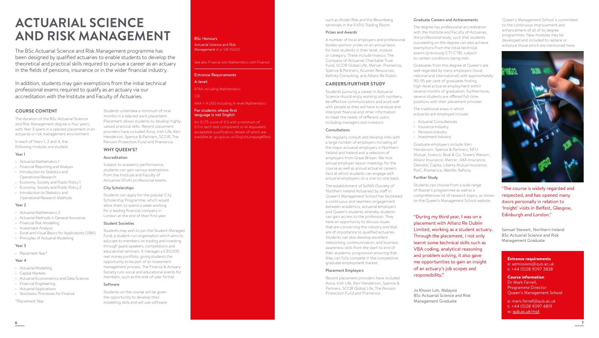# **ACTUARIAL SCIENCE AND RISK MANAGEMENT**

The BSc Actuarial Science and Risk Management programme has been designed by qualified actuaries to enable students to develop the theoretical and practical skills required to pursue a career as an actuary in the fields of pensions, insurance or in the wider financial industry.

In addition, students may gain exemptions from the initial technical professional exams required to qualify as an actuary via our accreditation with the Institute and Faculty of Actuaries.

#### **COURSE CONTENT**

The duration of the BSc Actuarial Science and Risk Management degree is four years, with Year 3 spent in a salaried placement in an actuarial or risk management environment.

In each of Years 1, 2 and 4, the following modules are studied:

## Year 1

- Actuarial Mathematics 1
- Financial Reporting and Analysis • Introduction to Statistics and Operational Research
- Economy, Society and Public Policy 1
- Economy, Society and Public Policy 2 • Introduction to Statistics and
- Operational Research Methods

#### Year 2

- Actuarial Mathematics 2
- Actuarial Methods in General Insurance
- Financial Risk Modelling
- Investment Analysis
- Excel and Visual Basics for Applications (VBA)
- Principles of Actuarial Modelling

#### Year 3

• Placement Year\*

#### Year 4

- Actuarial Modelling
- Capital Markets
- Actuarial Econometrics and Data Science
- Financial Engineering
- Actuarial Applications • Stochastic Processes for Finance

#### \*Placement Year

Management *4-yr SW (N323)* 

#### Entrance Requirements

#### A-level:

A\*AA including Mathematics

AAA + A (AS) including A-level Mathematics

#### For students whose first language is not English

An IELTS score of 6.5 with a minimum of 5.5 in each test component or an equivalent acceptable qualification, details of which are available at: [go.qub.ac.uk/EnglishLanguageReqs](http://go.qub.ac.uk/EnglishLanguageReqs)

#### Accreditation

**WHY QUEEN'S?**

Subject to academic performance, students can gain various exemptions from the Institute and Faculty of Actuaries (IFoA) professional exams.

Students undertake a minimum of nine months in a salaried work placement. Placement allows students to develop highlyvalued practical skills. Recent placement providers have included Aviva, Irish Life, Kerr Henderson, Spence & Partners, SCOR, The Pension Protection Fund and Pramerica.

#### City Scholarships

Students can apply for the popular City Scholarship Programme, which would allow them to spend a week working for a leading financial company in London at the end of their first year.

#### Student Societies

Students may wish to join the Student Managed Fund, a student-run organisation which aims to educate its members on trading and investing through guest speakers, competitions and educational seminars. It manages a £30,000 real money portfolio, giving students the opportunity to be part of an investment management process. The Finance & Actuary Society runs social and educational events for members, such as the end-of-year formal.

#### Software

Students on the course will be given the opportunity to develop their modelling skills and will use software

#### BSc Honours

Actuarial Science and Risk

#### See also Finance and Mathematics with Finance

OR

such as Model Risk and the Bloomberg terminals in the FinTrU Trading Room.

#### Prizes and Awards

A number of local employers and professional bodies sponsor prizes on an annual basis for best students in their level, module or category. These include Invesco, The Company of Actuaries Charitable Trust Fund, SCOR Global Life, Mercer, Pramerica, Spence & Partners, Acumen Resources, Xafinity Consulting, and Allianz Re Dublin.

#### **CAREERS/FURTHER STUDY**

Students pursuing a career in Actuarial Science should enjoy working with numbers, be effective communicators and work well with people as they will have to analyse and interpret financial and other information to meet the needs of different users, including managers and investors.

#### Consultations

We regularly consult and develop links with a large number of employers including all the major actuarial employers in Northern Ireland and Ireland and a selection of employers from Great Britain. We host annual employer liaison meetings for the course as well as annual actuarial careers fairs at which students can engage with actuarial employers on a one-to-one basis.

The establishment of SoNIA (Society of Northern Ireland Actuaries) by staff in Queen's Management School has facilitated a continuous and seamless engagement between academics, actuarial employers and Queen's students whereby students can gain access to the profession. They have an opportunity to discuss issues that are concerning the industry and that are of importance to qualified actuaries. Students can also develop excellent networking, communication, and business awareness skills from the start to end of their academic progression ensuring that they can fully compete in the competitive graduate employment market.

#### Placement Employers

Recent placement providers have included Aviva, Irish Life, Kerr Henderson, Spence & Partners, SCOR Global Life, The Pension Protection Fund and Pramerica.

#### Graduate Careers and Achievements

The degree has professional accreditation with the Institute and Faculty of Actuaries, the professional body, such that students succeeding on the degree can also achieve exemptions from the initial technical exams (previously CT1-CT8), subject to certain conditions being met.

Graduates from this degree at Queen's are well regarded by many employers (local, national and international) with approximately 90-95 per cent of graduates finding high-level actuarial employment within several months of graduation. Furthermore, several students are offered full-time positions with their placement provider.

The traditional areas in which actuaries are employed include:

- Actuarial Consultancies
- Insurance Industry
- Pensions Industry
- Investment Industry

Graduate employers include: Kerr Henderson; Spence & Partners; NFU Mutual; Invesco; Boal & Co; Towers Watson; Allianz Insurance; Mercer; AXA Insurance; Deloitte; Capita; Liberty Mutual Insurance; PwC; Pramerica; Metlife; Xafinity.

#### Further Study

Students can choose from a wide range of Master's programmes as well as a comprehensive list of research topics, as shown on the Queen's Management School website.

### "During my third year, I was on a placement with Allianz Re Dublin Limited, working as a student actuary.

Through the placement, I not only learnt some technical skills such as VBA coding, analytical reasoning and problem solving, it also gave me opportunities to gain an insight of an actuary's job scopes and responsibility."

Jo Khoon Loh, Malaysia BSc Actuarial Science and Risk Management Graduate

Queen's Management School is committed to the continuous improvement and enhancement of all of its degree programmes. New modules may be developed and included to replace or enhance those which are mentioned here.



"The course is widely regarded and respected, and has opened many doors personally in relation to 'Insight' visits in Belfast, Glasgow, Edinburgh and London."

Samuel Stewart, Northern Ireland BSc Actuarial Science and Risk Management Graduate

#### Entrance requirements e: [admissions@qub.ac.uk](mailto:admissions%40qub.ac.uk?subject=) t: +44 (0)28 9097 3838

Course information Dr Mark Farrell, Programme Director Queen's Management School

e: mark.farrell@qub.ac.uk t: +44 (0)28 9097 4819 w: [qub.ac.uk/mgt](http://qub.ac.uk/mgt)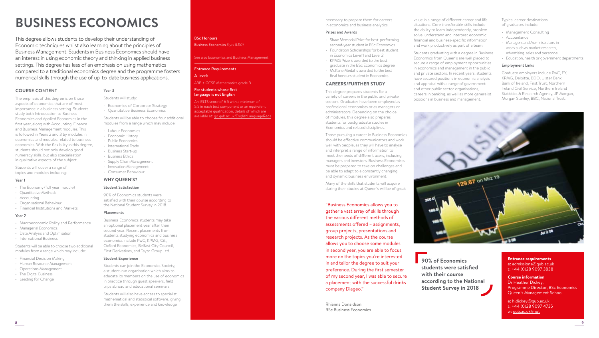# **BUSINESS ECONOMICS**

This degree allows students to develop their understanding of Economic techniques whilst also learning about the principles of Business Management. Students in Business Economics should have an interest in using economic theory and thinking in applied business settings. This degree has less of an emphasis on using mathematics compared to a traditional economics degree and the programme fosters numerical skills through the use of up-to-date business applications.

Year 3

Students will study:

• Labour Economics • Economic History • Public Economics • International Trade • Business Start-up • Business Ethics

• Supply Chain Management • Innovation Management • Consumer Behaviour

• Economics of Corporate Strategy • Quantitative Business Economics

Students will be able to choose four additional modules from a range which may include:

#### **COURSE CONTENT**

The emphasis of this degree is on those aspects of economics that are of most importance in a business setting. Students study both Introduction to Business Economics and Applied Economics in the first year, along with Accounting, Finance and Business Management modules. This is followed in Years 2 and 3 by modules in economics and modules related to business economics. With the flexibility in this degree, students should not only develop good numeracy skills, but also specialisation in qualitative aspects of the subject.

Students will cover a range of topics and modules including:

#### Year 1

- The Economy (full year module)
- Quantitative Methods
- Accounting
- Organisational Behaviour • Financial Institutions and Markets

## Year 2

- Macroeconomic Policy and Performance
- Managerial Economics
- Data Analysis and Optimisation
- International Business

Students will be able to choose two additional modules from a range which may include:

- Financial Decision Making
- Human Resource Management
- Operations Management
- The Digital Business
- Leading for Change

## BSc Honours

Business Economics *3 yrs (L110)*

#### See also Economics and Business Management

#### Entrance Requirements

## A-level:

## ABB + GCSE Mathematics grade B

#### For students whose first language is not English

An IELTS score of 6.5 with a minimum of 5.5 in each test component or an equivalent acceptable qualification, details of which are available at: [go.qub.ac.uk/EnglishLanguageReqs](http://go.qub.ac.uk/EnglishLanguageReqs)

#### necessary to prepare them for careers in economics and business analytics.

#### Prizes and Awards

- Shaw Memorial Prize for best-performing second-year student in BSc Economics • Foundation Scholarships for best student
- in Economics Level 1 and Level 2 • KPMG Prize is awarded to the best
- graduate in the BSc Economics degree • McKane Medal is awarded to the best
- final honours student in Economics

#### **CAREERS/FURTHER STUDY**

This degree prepares students for a variety of careers in the public and private sectors. Graduates have been employed as professional economists or as managers or administrators. Depending on the choice of modules, this degree also prepares students for postgraduate studies in Economics and related disciplines.

Those pursuing a career in Business Economics should be effective communicators and work well with people, as they will have to analyse and interpret a range of information to meet the needs of different users, including managers and investors. Business Economists must be prepared to take on challenges and be able to adapt to a constantly changing and dynamic business environment.

Many of the skills that students will acquire during their studies at Queen's will be of great

"Business Economics allows you to gather a vast array of skills through the various different methods of assessments offered – assignments, group projects, presentations and research projects. As the course allows you to choose some modules in second year, you are able to focus more on the topics you're interested in and tailor the degree to suit your preference. During the first semester of my second year, I was able to secure a placement with the successful drinks company Diageo."

Rhianna Donaldson BSc Business Economics value in a range of different career and life situations. Core transferable skills include the ability to learn independently, problem solve, understand and interpret economic, financial and business-specific information and work productively as part of a team.

Students graduating with a degree in Business Economics from Queen's are well placed to secure a range of employment opportunities in economics and management in the public and private sectors. In recent years, students have secured positions in economic analysis and appraisal with a range of government and other public sector organisations, careers in banking, as well as more generalist positions in business and management.

Typical career destinations of graduates include:

- Management Consulting
- Accountancy
- Managers and Administrators in areas such as market research, advertising, sales and personnel
- Education, health or government departments

#### Employment Links

Graduate employers include PwC, EY, KPMG, Deloitte, BDO, Ulster Bank, Bank of Ireland, First Trust, Northern Ireland Civil Service, Northern Ireland Statistics & Research Agency, JP Morgan, Morgan Stanley, BBC, National Trust.



**90% of Economics students were satisfied with their course according to the National Student Survey in 2018**

#### Entrance requirements e: [admissions@qub.ac.uk](mailto:admissions%40qub.ac.uk?subject=) t: +44 (0)28 9097 3838

Course information Dr Heather Dickey, Programme Director, BSc Economics Queen's Management School

e: h.dickey[@qub.ac.uk](mailto:chris.colvin%40qub.ac.uk?subject=) t: +44 (0)28 9097 4735 w: [qub.ac.uk/mgt](http://www.qub.ac.uk/mgt)

Students can join the Economics Society, a student-run organisation which aims to educate its members on the use of economics in practice through guest speakers, field trips abroad and educational seminars.

Students will also have access to specialist mathematical and statistical software, giving them the skills, experience and knowledge



#### Placements

#### Business Economics students may take an optional placement year after their second year. Recent placements from students studying economics and business economics include PwC, KPMG, Citi, Oxford Economics, Belfast City Council, First Derivatives, and Tayto Group Ltd.

#### Student Experience



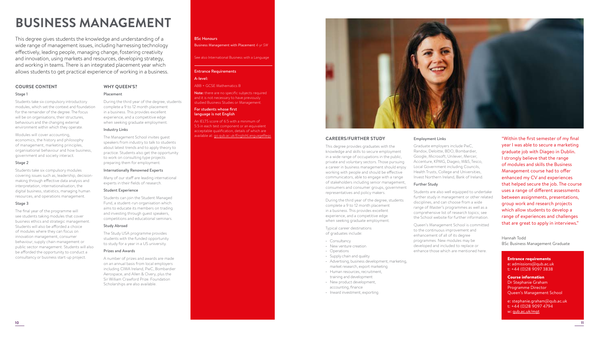# **BUSINESS MANAGEMENT**

This degree gives students the knowledge and understanding of a wide range of management issues, including harnessing technology effectively, leading people, managing change, fostering creativity and innovation, using markets and resources, developing strategy, and working in teams. There is an integrated placement year which allows students to get practical experience of working in a business.

**WHY QUEEN'S?**

During the third year of the degree, students complete a 9 to 12 month placement in a business. This provides excellent experience, and a competitive edge when seeking graduate employment.

The Management School invites guest speakers from industry to talk to students about latest trends and to apply theory to practice. Students also get the opportunity to work on consulting type projects preparing them for employment. Internationally Renowned Experts Many of our staff are leading international experts in their fields of research.

Students can join the Student Managed Fund, a student-run organisation which aims to educate its members on trading and investing through guest speakers, competitions and educational seminars.

The Study USA programme provides students with the funded opportunity to study for a year in a US university.

A number of prizes and awards are made on an annual basis from local employers including CIMA Ireland, PwC, Bombardier Aerospace, and Allen & Overy, plus the Sir William Crawford Prize. Foundation Scholarships are also available.

Placement

Industry Links

Student Experience

Study Abroad

Prizes and Awards

#### **COURSE CONTENT**

#### Stage 1

Students take six compulsory introductory modules, which set the context and foundation for the remainder of the degree. The focus will be on organisations, their structures, behaviours and the changing external environment within which they operate.

Modules will cover accounting, economics, the history and philosophy of management, marketing principles, organisational behaviour and how business, government and society interact.

#### Stage 2

Students take six compulsory modules covering issues such as, leadership, decisionmaking through effective data analysis and interpretation, internationalisation, the digital business, statistics, managing human resources, and operations management.

#### Stage 3

The final year of the programme will see students taking modules that cover business ethics and strategic management. Students will also be afforded a choice of modules where they can focus on innovation management, consumer behaviour, supply chain management or public sector management. Students will also be afforded the opportunity to conduct a consultancy or business start-up project.

#### BSc Honours

Business Management with Placement *4-yr SW*

#### See also International Business with a Language

#### Entrance Requirements

#### A-level:

ABB + GCSE Mathematics B

Note: there are no specific subjects required and it is not necessary to have previously studied Business Studies or Management.

#### For students whose first language is not English

An IELTS score of 6.5 with a minimum of 5.5 in each test component or an equivalent acceptable qualification, details of which are available at: [go.qub.ac.uk/EnglishLanguageReqs](http://go.qub.ac.uk/EnglishLanguageReqs)



Employment Links

Further Study

Graduate employers include PwC, Randox, Deloitte, BDO, Bombardier, Google, Microsoft, Unilever, Mercer, Accenture, KPMG, Diageo, M&S, Tesco, Local Government including Councils, Health Trusts, College and Universities, Invest Northern Ireland, Bank of Ireland.

Students are also well equipped to undertake further study in management or other related disciplines, and can choose from a wide range of Master's programmes as well as a comprehensive list of research topics; see the School website for further information. Queen's Management School is committed to the continuous improvement and enhancement of all of its degree programmes. New modules may be developed and included to replace or enhance those which are mentioned here.

#### **CAREERS/FURTHER STUDY**

This degree provides graduates with the knowledge and skills to secure employment in a wide range of occupations in the public, private and voluntary sectors. Those pursuing a career in business management should enjoy working with people and should be effective communicators, able to engage with a range of stakeholders including senior management, consumers and consumer groups, government representatives and policy makers.

During the third year of the degree, students complete a 9 to 12 month placement in a business. This provides excellent experience, and a competitive edge when seeking graduate employment.

Typical career destinations of graduates include:

- Consultancy
- New venture creation
- Operations
- Supply chain and quality
- Advertising, business development, marketing, market research, export marketing
- Human resources, recruitment, training and development
- New product development,
- accounting, finance
- Inward investment, exporting

#### "Within the first semester of my final year I was able to secure a marketing graduate job with Diageo in Dublin. I strongly believe that the range of modules and skills the Business Management course had to offer enhanced my CV and experiences that helped secure the job. The course uses a range of different assessments between assignments, presentations, group work and research projects which allow students to develop a range of experiences and challenges that are great to apply in interviews."

Hannah Todd BSc Business Management Graduate

#### Entrance requirements

e: [admissions@qub.ac.uk](mailto:admissions%40qub.ac.uk?subject=) t: +44 (0)28 9097 3838

Course information Dr Stephanie Graham Programme Director Queen's Management School

e: [stephanie.graham@qub.ac.uk](mailto:stephanie.graham%40qub.ac.uk?subject=) t: +44 (0)28 9097 4794 w: [qub.ac.uk/mgt](http://www.qub.ac.uk/mgt)

**10 11**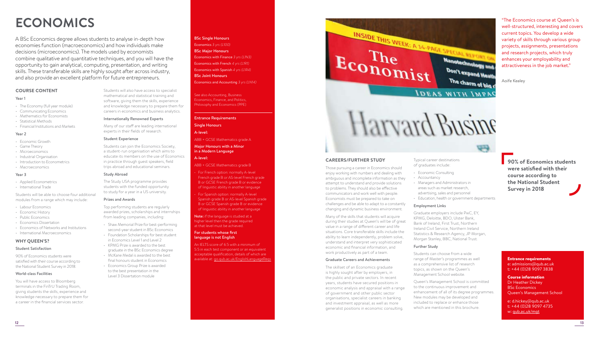# **ECONOMICS**

A BSc Economics degree allows students to analyse in-depth how economies function (macroeconomics) and how individuals make decisions (microeconomics). The models used by economists combine qualitative and quantitative techniques, and you will have the opportunity to gain analytical, computing, presentation, and writing skills. These transferable skills are highly sought after across industry, and also provide an excellent platform for future entrepreneurs.

#### **COURSE CONTENT**

#### Year 1

- The Economy (full year module)
- Communicating Economics
- Mathematics for Economists
- Statistical Methods
- Financial Institutions and Markets

#### Year 2

- Economic Growth
- Game Theory
- Microeconomics
- Industrial Organisation
- Introduction to Econometrics
- Macroeconomics

#### Year 3

- Applied Econometrics
- International Trade

Students will be able to choose four additional modules from a range which may include:

- Labour Economics
- Economic History
- Public Economics
- Economics Dissertation
- Economics of Networks and Institutions
- International Macroeconomics

#### **WHY QUEEN'S?**

#### Student Satisfaction

90% of Economics students were satisfied with their course according to the National Student Survey in 2018.

#### World-class Facilities

You will have access to Bloomberg terminals in the FinTrU Trading Room, giving students the skills, experience and knowledge necessary to prepare them for a career in the financial services sector.

BSc Single Honours Economics *3 yrs (L100)*  BSc Major Honours Economics with Finance *3 yrs (L1N3)*  Economics with French *4 yrs (L1R1)*  Economics with Spanish *4 yrs (L1R4)*  BSc Joint Honours Economics and Accounting *3 yrs (LN14)* 

> See also Accounting, Business Economics, Finance, and Politics, Philosophy and Economics (PPE)

ABB + GCSE Mathematics grade A Major Honours with a Minor in a Modern Language

#### Entrance Requirements

Single Honours A-level:

A-level:

Many of our staff are leading international experts in their fields of research.

#### Student Experience

Internationally Renowned Experts

Students can join the Economics Society, a student-run organisation which aims to educate its members on the use of Economics in practice through guest speakers, field trips abroad and educational seminars.

Students will also have access to specialist mathematical and statistical training and software, giving them the skills, experience and knowledge necessary to prepare them for careers in economics and business analytics.

The Study USA programme provides students with the funded opportunity

Top performing students are regularly awarded prizes, scholarships and internships from leading companies, including:

- second-year student in BSc Economics
- in Economics Level 1 and Level 2

• KPMG Prize is awarded to the best graduate in the BSc Economics degree • McKane Medal is awarded to the best final honours student in Economics

#### Study Abroad

to study for a year in a US university.

#### Prizes and Awards

- Shaw Memorial Prize for best-performing
- Foundation Scholarships for best student

#### • Economics Group Prize is awarded to the best presentation in the Level 3 Dissertation module

# ABB + GCSE Mathematics grade B

• For French option: normally A-level French grade B or AS-level French grade B or GCSE French grade B or evidence of linguistic ability in another language

• For Spanish option: normally A-level Spanish grade B or AS-level Spanish grade B or GCSE Spanish grade B or evidence of linguistic ability in another language

Note: if the language is studied at a higher level then the grade required at that level must be achieved.

#### For students whose first language is not English

An IELTS score of 6.5 with a minimum of 5.5 in each test component or an equivalent acceptable qualification, details of which are

INSIDE THIS WEEK: A 14-PAGE SPECIAL REPORT ON Economist Nanotechnology and Don't expand Heath The charm of big c **IDEAS WITH IMPAC** 

# Harvard Busine

#### **CAREERS/FURTHER STUDY**

Those pursuing a career in Economics should enjoy working with numbers and dealing with ambiguous and incomplete information as they attempt to understand and provide solutions to problems. They should also be effective communicators and work well with people. Economists must be prepared to take on challenges and be able to adapt to a constantly changing and dynamic business environment.

Many of the skills that students will acquire during their studies at Queen's will be of great value in a range of different career and life situations. Core transferable skills include the ability to learn independently, problem solve, understand and interpret very sophisticated economic and financial information, and work productively as part of a team.

#### Graduate Careers and Achievements

The skillset of an Economics graduate is highly sought after by employers, in the public and private sectors. In recent years, students have secured positions in economic analysis and appraisal with a range of government and other public sector organisations, specialist careers in banking and investment appraisal, as well as more generalist positions in economic consulting.

Typical career destinations of graduates include:

#### • Economic Consulting

- Accountancy
- Managers and Administrators in areas such as market research, advertising, sales and personnel
	- Education, health or government departments

**VA** 

#### Employment Links

Graduate employers include PwC, EY, KPMG, Deloitte, BDO, Ulster Bank, Bank of Ireland, First Trust, Northern Ireland Civil Service, Northern Ireland Statistics & Research Agency, JP Morgan, Morgan Stanley, BBC, National Trust.

#### Further Study

Students can choose from a wide range of Master's programmes as well as a comprehensive list of research topics, as shown on the Queen's Management School website. available at: [go.qub.ac.uk/EnglishLanguageReqs](http://go.qub.ac.uk/EnglishLanguageReqs) entrance requirements Graduate Careers and Achievements Fange of Master's programmes as well

> Queen's Management School is committed to the continuous improvement and enhancement of all of its degree programmes. New modules may be developed and included to replace or enhance those which are mentioned in this brochure.

**90% of Economics students were satisfied with their course according to the National Student Survey in 2018**

"The Economics course at Queen's is well-structured, interesting and covers current topics. You develop a wide variety of skills through various group projects, assignments, presentations and research projects, which truly enhances your employability and attractiveness in the job market."

Aoife Kealey

e: [admissions@qub.ac.uk](mailto:admissions%40qub.ac.uk?subject=) t: +44 (0)28 9097 3838

#### Course information Dr Heather Dickey

BSc Economics Queen's Management School

e: d.hicke[y@qub.ac.uk](mailto:chris.colvin%40qub.ac.uk?subject=) t: +44 (0)28 9097 4735 w: [qub.ac.uk/mgt](http://www.qub.ac.uk/mgt)

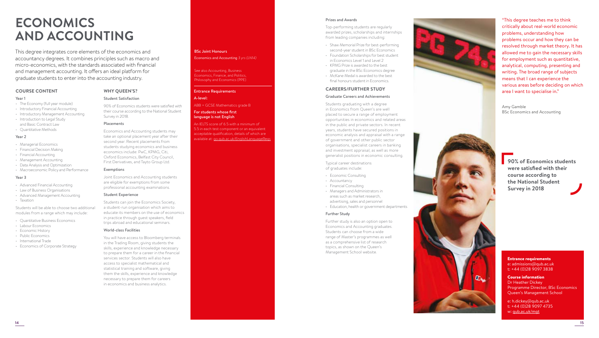# **ECONOMICS AND ACCOUNTING**

This degree integrates core elements of the economics and accountancy degrees. It combines principles such as macro and micro-economics, with the standards associated with financial and management accounting. It offers an ideal platform for graduate students to enter into the accounting industry.

#### **COURSE CONTENT**

#### Year 1

- The Economy (full year module)
- Introductory Financial Accounting
- Introductory Management Accounting
- Introduction to Legal Study and Basic Contract Law
- Quantitative Methods

#### Year 2

- Managerial Economics
- Financial Decision Making
- Financial Accounting
- Management Accounting
- Data Analysis and Optimization
- Macroeconomic Policy and Performance

#### Year 3

- Advanced Financial Accounting
- Law of Business Organisations
- Advanced Management Accounting
- Taxation

#### Students will be able to choose two additional modules from a range which may include:

- Quantitative Business Economics
- Labour Economics
- Economic History
- Public Economics
- International Trade • Economics of Corporate Strategy

## **WHY QUEEN'S?**

#### Student Satisfaction

90% of Economics students were satisfied with their course according to the National Student Survey in 2018.

#### Placements

Economics and Accounting students may take an optional placement year after their second year. Recent placements from students studying economics and business economics include: PwC, KPMG, Citi, Oxford Economics, Belfast City Council, First Derivatives, and Tayto Group Ltd.

#### Exemptions

Joint Economics and Accounting students are eligible for exemptions from some professional accounting examinations.

#### Student Experience

Students can join the Economics Society, a student-run organisation which aims to educate its members on the use of economics in practice through guest speakers, field trips abroad and educational seminars.

#### World-class Facilities

You will have access to Bloomberg terminals in the Trading Room, giving students the skills, experience and knowledge necessary to prepare them for a career in the financial services sector. Students will also have access to specialist mathematical and statistical training and software, giving them the skills, experience and knowledge necessary to prepare them for careers in economics and business analytics.

#### BSc Joint Honours Economics and Accounting *3 yrs (LN14)*

See also Accounting, Business Economics, Finance, and Politics, Philosophy and Economics (PPE)

#### Entrance Requirements

#### A-level:

ABB + GCSE Mathematics grade B

#### For students whose first language is not English

An IELTS score of 6.5 with a minimum of 5.5 in each test component or an equivalent acceptable qualification, details of which are available at: [go.qub.ac.uk/EnglishLanguageReqs](http://go.qub.ac.uk/EnglishLanguageReqs)

#### Prizes and Awards

Top-performing students are regularly awarded prizes, scholarships and internships from leading companies including:

- Shaw Memorial Prize for best-performing second-year student in BSc Economics • Foundation Scholarships for best student
- in Economics Level 1 and Level 2 • KPMG Prize is awarded to the best
- graduate in the BSc Economics degree
- McKane Medal is awarded to the best final honours student in Economics.

#### **CAREERS/FURTHER STUDY**

#### Graduate Careers and Achievements

Students graduating with a degree in Economics from Queen's are well placed to secure a range of employment opportunities in economics and related areas in the public and private sectors. In recent years, students have secured positions in economic analysis and appraisal with a range of government and other public sector organisations, specialist careers in banking and investment appraisal, as well as more generalist positions in economic consulting.

Typical career destinations of graduates include:

- Economic Consulting
- Accountancy
- Financial Consulting
- Managers and Administrators in areas such as market research,
- advertising, sales and personnel • Education, health or government departments

#### Further Study

Further study is also an option open to Economics and Accounting graduates. Students can choose from a wide range of Master's programmes as well as a comprehensive list of research topics, as shown on the Queen's Management School website.



"This degree teaches me to think critically about real-world economic problems, understanding how problems occur and how they can be resolved through market theory. It has allowed me to gain the necessary skills for employment such as quantitative, analytical, computing, presenting and writing. The broad range of subjects means that I can experience the various areas before deciding on which area I want to specialise in."

Amy Gamble BSc Economics and Accounting



#### Entrance requirements e: [admissions@qub.ac.uk](mailto:admissions%40qub.ac.uk?subject=) t: +44 (0)28 9097 3838

 $Q_{\rm{b}}$ 

#### Course information Dr Heather Dickey Programme Director, BSc Economics Queen's Management School

e: h.dicke[y@qub.ac.uk](mailto:chris.colvin%40qub.ac.uk?subject=) t: +44 (0)28 9097 4735 w: [qub.ac.uk/mgt](http://www.qub.ac.uk/mgt)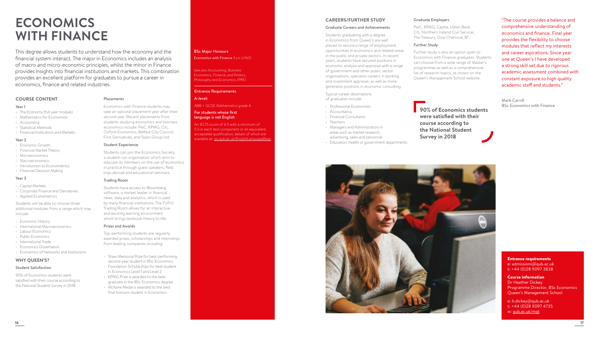# **ECONOMICS WITH FINANCE**

This degree allows students to understand how the economy and the financial system interact. The major in Economics includes an analysis of macro and micro-economic principles, whilst the minor in Finance provides insights into financial institutions and markets. This combination provides an excellent platform for graduates to pursue a career in economics, finance and related industries.

#### **COURSE CONTENT**

#### Year 1

- The Economy (full year module)
- Mathematics for Economists
- Accounting
- Statistical Methods
- Financial Institutions and Markets
- Year 2
- Economic Growth
- Financial Market Theory
- Microeconomics
- Macroeconomics
- Introduction to Econometrics
- Financial Decision Making

#### Year 3

- Capital Markets
- Corporate Finance and Derivatives
- Applied Econometrics

Students will be able to choose three additional modules from a range which may include:

- Economic History
- International Macroeconomics
- Labour Economics
- Public Economics
- International Trade
- Economics Dissertation
- Economics of Networks and Institutions

#### **WHY QUEEN'S?**

#### Student Satisfaction

90% of Economics students were satisfied with their course according to the National Student Survey in 2018.

## BSc Major Honours

Economics with Finance *3 yrs (L1N3)* 

See also Accounting, Business Economics, Finance, and Politics, Philosophy and Economics (PPE)

#### Entrance Requirements

#### A-level:

ABB + GCSE Mathematics grade A

#### For students whose first language is not English

An IELTS score of 6.5 with a minimum of 5.5 in each test component or an equivalent acceptable qualification, details of which are available at: [go.qub.ac.uk/EnglishLanguageReqs](http://go.qub.ac.uk/EnglishLanguageReqs)

#### **CAREERS/FURTHER STUDY**

#### Graduate Careers and Achievements

Students graduating with a degree in Economics from Queen's are well placed to secure a range of employment opportunities in economics and related areas in the public and private sectors. In recent years, students have secured positions in economic analysis and appraisal with a range of government and other public sector organisations, specialist careers in banking and investment appraisal, as well as more generalist positions in economic consulting.

Typical career destinations of graduates include:

- Professional Economists
- Accountancy • Financial Consultants
- 
- Teachers
- Managers and Administrators in areas such as market research, advertising, sales and personnel
- Education, health or government departments

#### Graduate Employers

PwC, KPMG, Capita, Ulster Bank, Citi, Northern Ireland Civil Service, The Treasury, Dow Chemical, BT.

#### Further Study

Further study is also an option open to Economics with Finance graduates. Students can choose from a wide range of Master's programmes as well as a comprehensive list of research topics, as shown on the Queen's Management School website.

**90% of Economics students were satisfied with their course according to the National Student Survey in 2018**

Mark Carvill BSc Economics with Finance

"The course provides a balance and comprehensive understanding of economics and finance. Final year provides the flexibility to choose modules that reflect my interests and career aspirations. Since year one at Queen's I have developed a strong skill set due to rigorous academic assessment combined with constant exposure to high quality academic staff and students."



e: [admissions@qub.ac.uk](mailto:admissions%40qub.ac.uk?subject=) t: +44 (0)28 9097 3838 Course information

Dr Heather Dickey Programme Director, BSc Economics Queen's Management School

e: h.dicke[y@qub.ac.uk](mailto:chris.colvin%40qub.ac.uk%20?subject=) t: +44 (0)28 9097 4735 w: [qub.ac.uk/mgt](http://www.qub.ac.uk/mgt)

#### trips abroad and educational seminars. Trading Room

Placements

Student Experience

Students have access to Bloomberg software, a market leader in financial news, data and analytics, which is used by many financial institutions. The FinTrU Trading Room allows for an interactive and exciting learning environment which brings textbook theory to life.

Students can join the Economics Society, a student-run organisation which aims to educate its members on the use of economics in practice through guest speakers, field

Economics with Finance students may take an optional placement year after their second year. Recent placements from students studying economics and business economics include: PwC, KPMG, Citi, Oxford Economics, Belfast City Council; First Derivatives, and Tayto Group Ltd.

#### Prizes and Awards

Top-performing students are regularly awarded prizes, scholarships and internships from leading companies including:

- Shaw Memorial Prize for best-performing second-year student in BSc Economics • Foundation Scholarships for best student
- KPMG Prize is awarded to the best graduate in the BSc Economics degree
- McKane Medal is awarded to the best final honours student in Economics

**16 17**





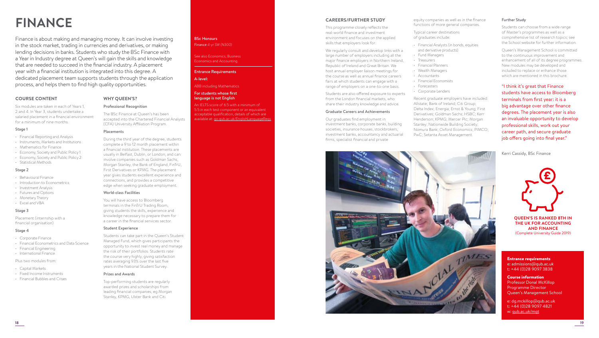# **FINANCE**

Finance is about making and managing money. It can involve investing in the stock market, trading in currencies and derivatives, or making lending decisions in banks. Students who study the BSc Finance with a Year in Industry degree at Queen's will gain the skills and knowledge that are needed to succeed in the financial industry. A placement year with a financial institution is integrated into this degree. A dedicated placement team supports students through the application process, and helps them to find high quality opportunities.

> **WHY QUEEN'S?** Professional Recognition

Placements

World-class Facilities

Student Experience

Prizes and Awards

You will have access to Bloomberg terminals in the FinTrU Trading Room, giving students the skills, experience and knowledge necessary to prepare them for a career in the financial services sector.

Students can take part in the Queen's Student Managed Fund, which gives participants the opportunity to invest real money and manage the risk of their portfolios. Students rate the course very highly, giving satisfaction rates averaging 93% over the last five years in the National Student Survey.

Top-performing students are regularly awarded prizes and scholarships from leading financial companies, eg Morgan Stanley, KPMG, Ulster Bank and Citi.

The BSc Finance at Queen's has been accepted into the Chartered Financial Analysts

(CFA) University Affiliation Program.

During the third year of the degree, students complete a 9 to 12 month placement within a financial institution. These placements are usually in Belfast, Dublin, or London, and can involve companies such as Goldman Sachs, Morgan Stanley, the Bank of England, FinTrU, First Derivatives or KPMG. The placement year gives students excellent experience and connections, and provides a competitive edge when seeking graduate employment.

#### **COURSE CONTENT**

Six modules are taken in each of Years 1, 2 and 4. In Year 3, students undertake a salaried placement in a financial environment for a minimum of nine months.

#### Stage 1

- Financial Reporting and Analysis
- Instruments, Markets and Institutions
- Mathematics for Finance
- Economy, Society and Public Policy 1
- Economy, Society and Public Policy 2
- Statistical Methods

#### Stage 2

- Behavioural Finance
- Introduction to Econometrics
- Investment Analysis
- Futures and Options
- Monetary Theory • Excel and VBA

#### Stage 3

Placement (internship with a financial organisation)

#### Stage 4

- Corporate Finance
- Financial Econometrics and Data Science
- Financial Engineering
- International Finance

#### Plus two modules from:

- Capital Markets
- Fixed Income Instruments
- Financial Bubbles and Crises

#### BSc Honours Finance *4-yr SW (N300)*

#### See also Economics, Business Economics and Accounting

#### Entrance Requirements

#### A-level:

#### ABB including Mathematics

#### For students whose first language is not English

An IELTS score of 6.5 with a minimum of 5.5 in each test component or an equivalent acceptable qualification, details of which are available at: [go.qub.ac.uk/EnglishLanguageReqs](http://go.qub.ac.uk/EnglishLanguageReqs)

#### **CAREERS/FURTHER STUDY**

This programme closely reflects the real-world finance and investment environment and focuses on the applied skills that employers look for.

We regularly consult and develop links with a large number of employers including all the major finance employers in Northern Ireland, Republic of Ireland and Great Britain. We host annual employer liaison meetings for the course as well as annual finance careers fairs at which students can engage with a range of employers on a one-to-one basis.

Students are also offered exposure to experts from the London financial markets, who share their industry knowledge and advice.

#### Graduate Careers and Achievements

Our graduates find employment in investment banks, corporate banks, building societies, insurance houses, stockbrokers, investment banks, accountancy and actuarial firms, specialist financial and private



- Typical career destinations of graduates include:
- Financial Analysts (in bonds, equities
- and derivative products)
- Fund Managers • Treasurers
- Financial Planners
- Wealth Managers
- Accountants
- Financial Economists
- Forecasters
- Corporate Lenders

Recent graduate employers have included: Allstate; Bank of Ireland; Citi Group; Delta Index; Energia; Ernst & Young; First Derivatives; Goldman Sachs; HSBC; Kerr Henderson; KPMG; Mercer Plc; Morgan Stanley; Nationwide Building Society; Nomura Bank; Oxford Economics; PIMCO; PwC; Setanta Asset Management.

#### Further Study

Students can choose from a wide range of Master's programmes as well as a comprehensive list of research topics; see the School website for further information.

Queen's Management School is committed to the continuous improvement and enhancement of all of its degree programmes. New modules may be developed and included to replace or enhance those which are mentioned in this brochure.

"I think it's great that Finance students have access to Bloomberg terminals from first year: it is a big advantage over other finance degrees. The placement year is also an invaluable opportunity to develop professional skills, work out your career path, and secure graduate job offers going into final year."

Kerri Cassidy, BSc Finance



**QUEEN'S IS RANKED 8TH IN THE UK FOR ACCOUNTING AND FINANCE**  (Complete University Guide 2019)

#### Entrance requirements e: [admissions@qub.ac.uk](mailto:admissions%40qub.ac.uk?subject=) t: +44 (0)28 9097 3838

Course information Professor Donal McKillop Programme Director Queen's Management School

e: dg.mckillop@qub.ac.uk t: +44 (0)28 9097 4821 w: [qub.ac.uk/mgt](http://www.qub.ac.uk/mgt)

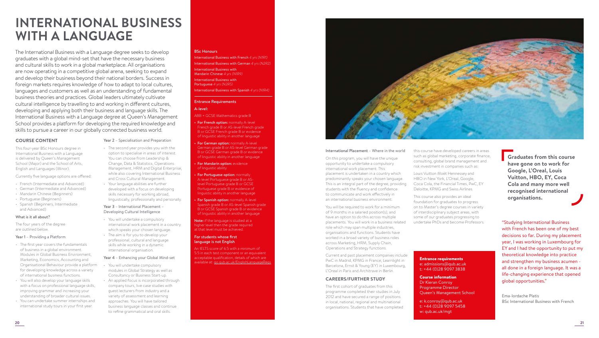# **INTERNATIONAL BUSINESS WITH A LANGUAGE**

The International Business with a Language degree seeks to develop graduates with a global mind-set that have the necessary business and cultural skills to work in a global marketplace. All organisations are now operating in a competitive global arena, seeking to expand and develop their business beyond their national borders. Success in foreign markets requires knowledge of how to adapt to local cultures, languages and customers as well as an understanding of fundamental business theories and practices. Global leaders ultimately cultivate cultural intelligence by travelling to and working in different cultures, developing and applying both their business and language skills. The International Business with a Language degree at Queen's Management School provides a platform for developing the required knowledge and skills to pursue a career in our globally connected business world.

> Year 2 – Specialisation and Preparation • The second year provides you with the option to specialise in areas of interest. You can choose from Leadership & Change, Data & Statistics, Operations Management, HRM and Digital Enterprise, while also covering International Business and Cross Cultural Management. • Your language abilities are further developed with a focus on developing skills necessary for working abroad, linguistically, professionally and personally.

Year 3 – International Placement – Developing Cultural Intelligence • You will undertake a compulsory

international work placement in a country which speaks your chosen language. • The aim is for you to develop your professional, cultural and language skills while working in a dynamic international organisation.

Year 4 – Enhancing your Global Mind-set

• You will undertake compulsory modules in Global Strategy as well as Consultancy or Business Start-up. • An applied focus is incorporated through company tours, live case studies with guest lecturers from industry and a variety of assessment and learning approaches. You will have tailored business language classes and continue to refine grammatical and oral skills.

#### **COURSE CONTENT**

This four-year BSc Honours degree in International Business with a Language is delivered by Queen's Management School (Major) and the School of Arts, English and Languages (Minor).

Currently five language options are offered:

- French (Intermediate and Advanced)
- German (Intermediate and Advanced)
- Mandarin Chinese (Beginners)
- Portuguese (Beginners)
- Spanish (Beginners, Intermediate and Advanced)

#### What is it all about?

The four years of the degree are outlined below.

#### Year 1 – Providing a Platform

- The first year covers the fundamentals of business in a global environment. Modules in Global Business Environment, Marketing, Economics, Accounting and Organisational Behaviour provide a platform for developing knowledge across a variety of international business functions.
- You will also develop your language skills with a focus on professional language skills, improving grammar and increasing your understanding of broader cultural issues.
- You can undertake summer internships and international study tours in your first year.

#### BSc Honours

International Business with French *4 yrs (N1R1)*  International Business with German *4 yrs (N2R2)* International Business with Mandarin Chinese *4 yrs (N1R9)*  International Business with Portuguese *4 yrs (N2R5)* International Business with Spanish *4 yrs (N1R4)*

#### Entrance Requirements

#### A-level:

ABB + GCSE Mathematics grade B

• For French option: normally A-level French grade B or AS-level French grade B or GCSE French grade B or evidence of linguistic ability in another language

• For German option: normally A-level German grade B or AS-level German grade B or GCSE German grade B or evidence of linguistic ability in another language

• For Mandarin option: evidence of linguistic ability

• For Portuguese option: normally A-level Portuguese grade B or ASlevel Portuguese grade B or GCSE Portuguese grade B or evidence of linguistic ability in another language

**For Spanish option:** normally A-level Spanish grade B or AS-level Spanish grade B or GCSE Spanish grade B or evidence of linguistic ability in another language

Note: if the language is studied at a higher level then the grade required at that level must be achieved.

#### For students whose first language is not English

An IELTS score of 6.5 with a minimum of 5.5 in each test component or an equivalent acceptable qualification, details of which are



#### International Placement – Where in the world

On this program, you will have the unique opportunity to undertake a compulsory international work placement. This placement is undertaken in a country which predominantly speaks your chosen language. This is an integral part of the degree, providing students with the fluency and confidence to communicate and work effectively in an international business environment.

You will be required to work for a minimum of 9 months in a salaried position(s), and have an option to do this across multiple placements. You will work in a business related role which may span multiple industries, organisations and functions. Students have worked in a broad variety of business roles across Marketing, HRM, Supply Chain, Operations and Strategy functions.

Current and past placement companies include acceptable qualification, details of which are<br>available at: <u>[go.qub.ac.uk/EnglishLanguageReqs](http://go.qub.ac.uk/EnglishLanguageReqs)</u> Entrance requirements Barcelona, Ernst & Young (EY) in Luxembourg, L'Oreal in Paris and Architrave in Berlin.

#### **CAREERS/FURTHER STUDY**

The first cohort of graduates from this programme completed their studies in July 2012 and have secured a range of positions in local, national, regional and multinational organisations. Students that have completed this course have developed careers in areas such as global marketing, corporate finance, consulting, global brand management and risk investment in companies such as:

Louis Vuitton Moët Hennessey and HBO in New York, L'Oreal, Google, Coca Cola, the Financial Times, PwC, EY Deloitte, KPMG and Swiss Airlines.

This course also provides an ideal foundation for graduates to progress on to Master's degree courses in variety of interdisciplinary subject areas, with some of our graduates progressing to undertake PhDs and become Professors.

## e: [admissions@qub.ac.uk](mailto:admissions%40qub.ac.uk?subject=) t: +44 (0)28 9097 3838

Course information Dr Kieran Conroy Programme Director Queen's Management School

e: [k.conroy@qub.ac.uk](mailto:k.conroy%40qub.ac.uk?subject=) t: +44 (0)28 9097 5458 w: qub.ac.uk/mgt

**Graduates from this course have gone on to work for Google, L'Oreal, Louis Vuitton, HBO, EY, Coca Cola and many more well recognised international organisations.**

"Studying International Business with French has been one of my best decisions so far. During my placement year, I was working in Luxembourg for EY and I had the opportunity to put my theoretical knowledge into practice and strengthen my business acumen all done in a foreign language. It was a life-changing experience that opened global opportunities."

Ema-Iordache Platis BSc International Business with French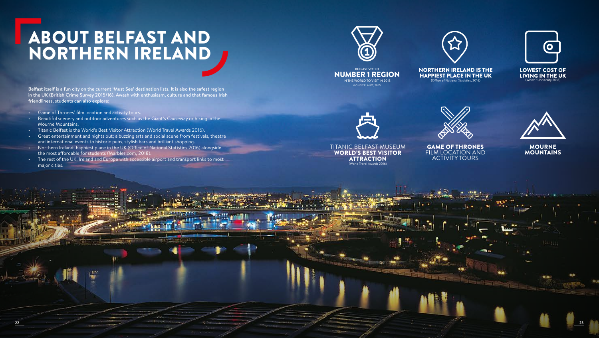# ABOUT BELFAST AND NORTHERN IRELAND

Belfast itself is a fun city on the current 'Must See' destination lists. It is also the safest region in the UK (British Crime Survey 2015/16). Awash with enthusiasm, culture and that famous Irish friendliness, students can also explore:

- Game of Thrones' film location and activity tours.
- Beautiful scenery and outdoor adventures such as the Giant's Causeway or hiking in the Mourne Mountains.
- Titanic Belfast is the World's Best Visitor Attraction (World Travel Awards 2016).
- Great entertainment and nights out; a buzzing arts and social scene from festivals, theatre and international events to historic pubs, stylish bars and brilliant shopping.
- Northern Ireland: happiest place in the UK (Office of National Statistics 2016) alongside the most affordable for students (Marbles.com, 2018).
- The rest of the UK, Ireland and Europe with accessible airport and transport links to most major cities.







BELFAST VOTED NUMBER 1 REGION IN THE WORLD TO VISIT IN 2018 (LONELY PLANET, 2017)

**NORTHERN IRELAND IS THE HAPPIEST PLACE IN THE UK** 

**LOWEST COST OF** LIVING IN THE UK (Which? University 2018)



TITANIC BELFAST MUSEUM WORLD'S BEST VISITOR ATTRACTION (World Travel Awards 2016)

**22 23**

GAME OF THRONES FILM LOCATION AND

ACTIVITY TOURS



MOURNE MOUNTAINS